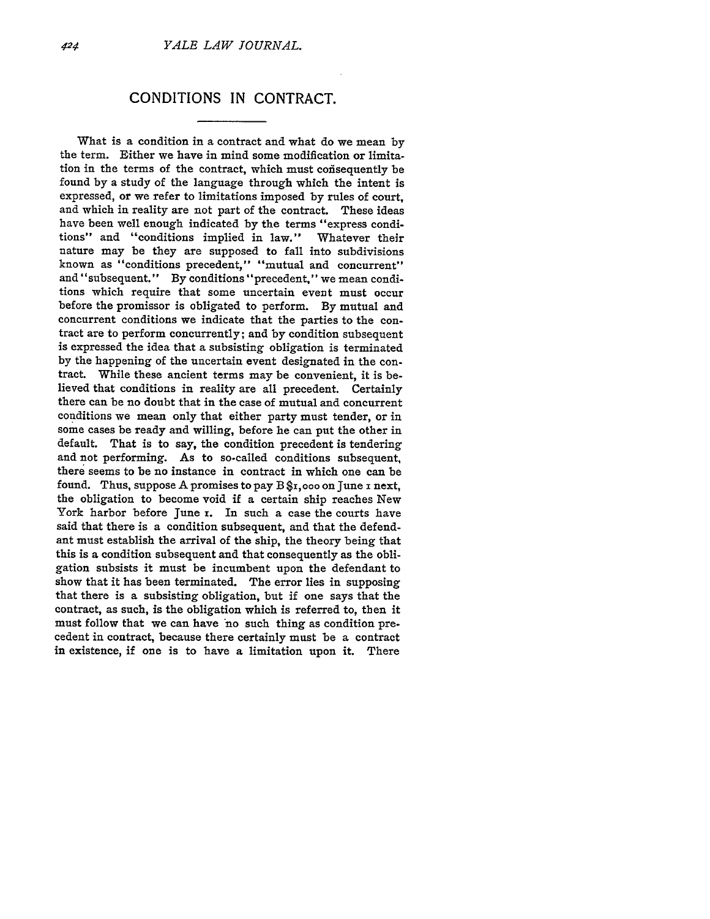## CONDITIONS IN CONTRACT.

What is a condition in a contract and what do we mean by the term. Either we have in mind some modification or limitation in the terms of the contract, which must consequently be found by a study of the language through which the intent is expressed, or we refer to limitations imposed by rules of court, and which in reality are not part of the contract. These ideas have been well enough indicated by the terms "express conditions" and "conditions implied in law." Whatever their nature may be they are supposed to fall into subdivisions known as "conditions precedent," "mutual and concurrent" and "subsequent." By conditions "precedent," we mean conditions which require that some uncertain event must occur before the promissor is obligated to perform. By mutual and concurrent conditions we indicate that the parties to the contract are to perform concurrently; and by condition subsequent is expressed the idea that a subsisting obligation is terminated by the happening of the uncertain event designated in the contract. While these ancient terms may be convenient, it is believed that conditions in reality are all precedent. Certainly there can be no doubt that in the case of mutual and concurrent conditions we mean only that either party must tender, or in some cases be ready and willing, before he can put the other in default. That is to say, the condition precedent is tendering and not performing. As to so-called conditions subsequent, there seems to be no instance in contract in which one can be found. Thus, suppose A promises to pay  $B\$ i, ooo on June  $r$  next, the obligation to become void if a certain ship reaches New York harbor before June I. In such a case the courts have said that there is a condition subsequent, and that the defendant must establish the arrival of the ship, the theory being that this is a condition subsequent and that consequently as the obligation subsists it must be incumbent upon the defendant to show that it has been terminated. The error lies in supposing that there is a subsisting obligation, but if one says that the contract, as such, is the obligation which is referred to, then it must follow that we can have 'no such thing as condition precedent in contract, because there certainly must be a contract in existence, if one is to have a limitation upon it. There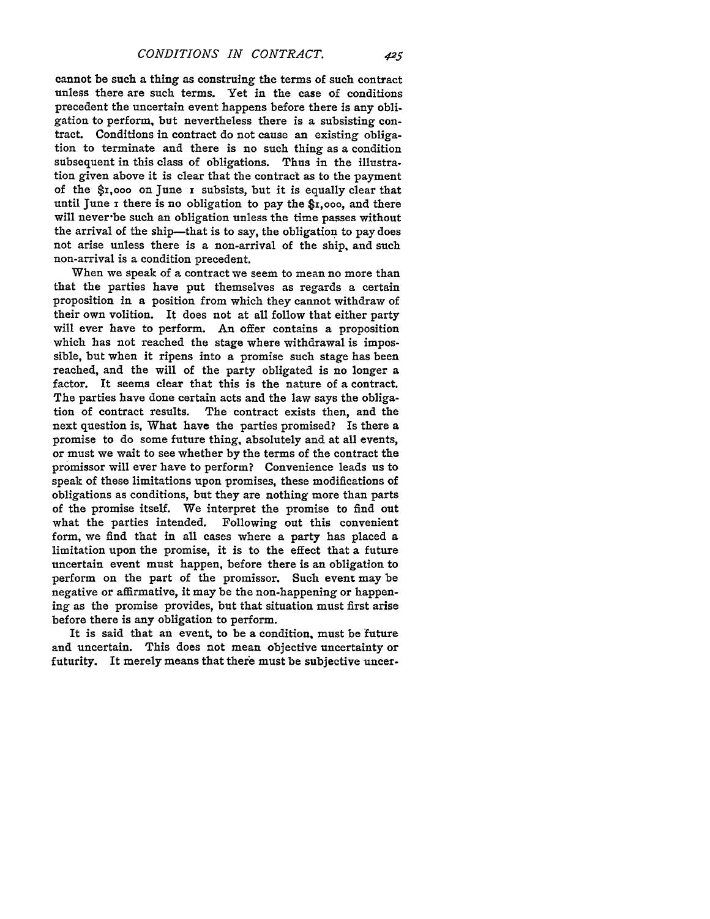cannot be such a thing as construing the terms of such contract unless there are such terms. Yet in the case of conditions precedent the uncertain event happens before there is any obligation to perform, but nevertheless there is a subsisting contract. Conditions in contract do not cause an existing obligation to terminate and there is no such thing as a condition subsequent in this class of obligations. Thus in the illustration given above it is clear that the contract as to the payment of the **\$i,ooo** on June **i** subsists, but it is equally clear that until June **i** there is no obligation to pay the \$i,ooo, and there will never-be such an obligation unless the time passes without the arrival of the ship-that is to say, the obligation to pay does not arise unless there is a non-arrival of the ship, and such non-arrival is a condition precedent.

When we speak of a contract we seem to mean no more than that the parties have put themselves as regards a certain proposition in a position from which they cannot withdraw of their own volition. It does not at all follow that either party will ever have to perform. An offer contains a proposition which has not reached the stage where withdrawal is impossible, but when it ripens into a promise such stage has been reached, and the will of the party obligated is no longer a factor. It seems clear that this is the nature of a contract. The parties have done certain acts and the law says the obligation of contract results. The contract exists then, and the next question is, What have the parties promised? Is there a promise to do some future thing, absolutely and at all events, or must we wait to see whether **by** the terms of the contract the promissor will ever have to perform? Convenience leads us to speak of these limitations upon promises, these modifications of obligations as conditions, but they are nothing more than parts of the promise itself. We interpret the promise to find out what the parties intended. Following out this convenient form, we find that in all cases where a party has placed a limitation upon the promise, it is to the effect that a future uncertain event must happen, before there is an obligation to perform on the part of the promissor. Such event may be negative or affirmative, it may be the non-happening or happening as the promise provides, but that situation must first arise before there is any obligation to perform.

It is said that an event, to be a condition, must be future and uncertain. This does not mean objective uncertainty or futurity. It merely means that there must be subjective uncer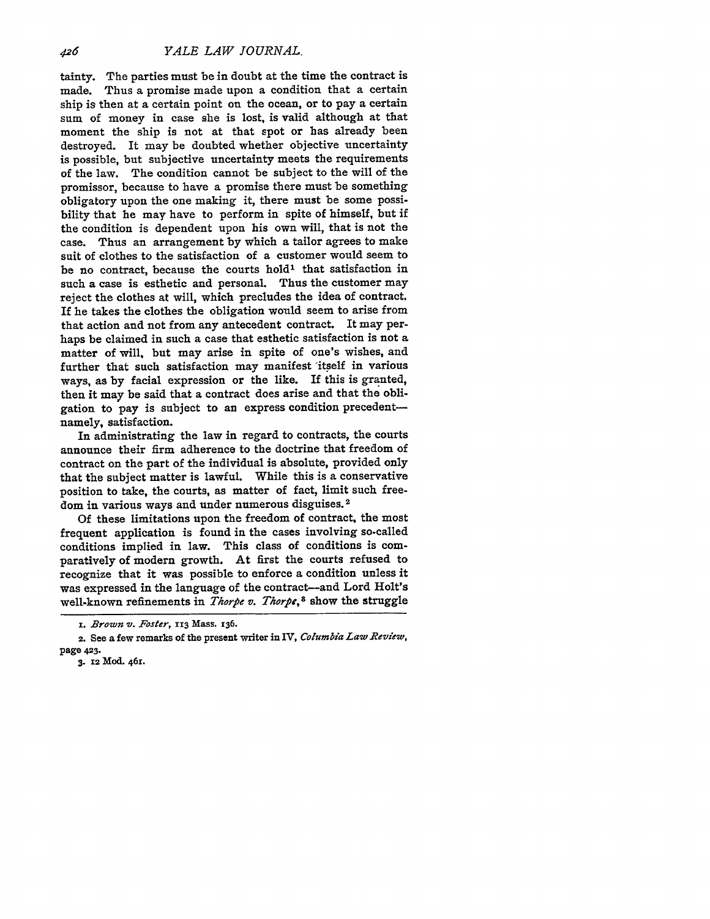tainty. The parties must be in doubt at the time the contract is made. Thus a promise made upon a condition that a certain ship is then at a certain point on the ocean, or to pay a certain sum of money in case she is lost, is valid although at that moment the ship is not at that spot or has already been destroyed. It may be doubted whether objective uncertainty is possible, but subjective uncertainty meets the requirements of the law. The condition cannot be subject to the will of the promissor, because to have a promise there must be something obligatory upon the one making it, there must be some possibility that he may have to perform in spite of himself, but if the condition is dependent upon his own will, that is not the case. Thus an arrangement **by** which a tailor agrees to make suit of clothes to the satisfaction of a customer would seem to be no contract, because the courts hold<sup>1</sup> that satisfaction in such a case is esthetic and personal. Thus the customer may reject the clothes at will, which precludes the idea of contract. If he takes the clothes the obligation would seem to arise from that action and not from any antecedent contract. It may perhaps be claimed in such a case that esthetic satisfaction is not a matter of will, but may arise in spite of one's wishes, and further that such satisfaction may manifest itself in various ways, as **by** facial expression or the like. If this is granted, then it may be said that a contract does arise and that the obligation to pay is subject to an express condition precedentnamely, satisfaction.

In administrating the law in regard to contracts, the courts announce their firm adherence to the doctrine that freedom of contract on the part of the individual is absolute, provided only that the subject matter is lawful. While this is a conservative position to take, the courts, as matter of fact, limit such freedom in various ways and under numerous disguises. 2

**Of** these limitations upon the freedom of contract, the most frequent application is found in the cases involving so-called conditions implied in law. This class of conditions is comparatively of modern growth. At first the courts refused to recognize that it was possible to enforce a condition unless it was expressed in the language of the contract-and Lord Holt's well-known refinements in *Thorpe v. Thorpie,8* show the struggle

*I. Brow v. Foster,* **113** Mass. 136.

**<sup>2.</sup>** See a few remarks of the present writer in IV, *Columbia Law Review,* page **423.**

**<sup>3.</sup> x2** Mod. 46r.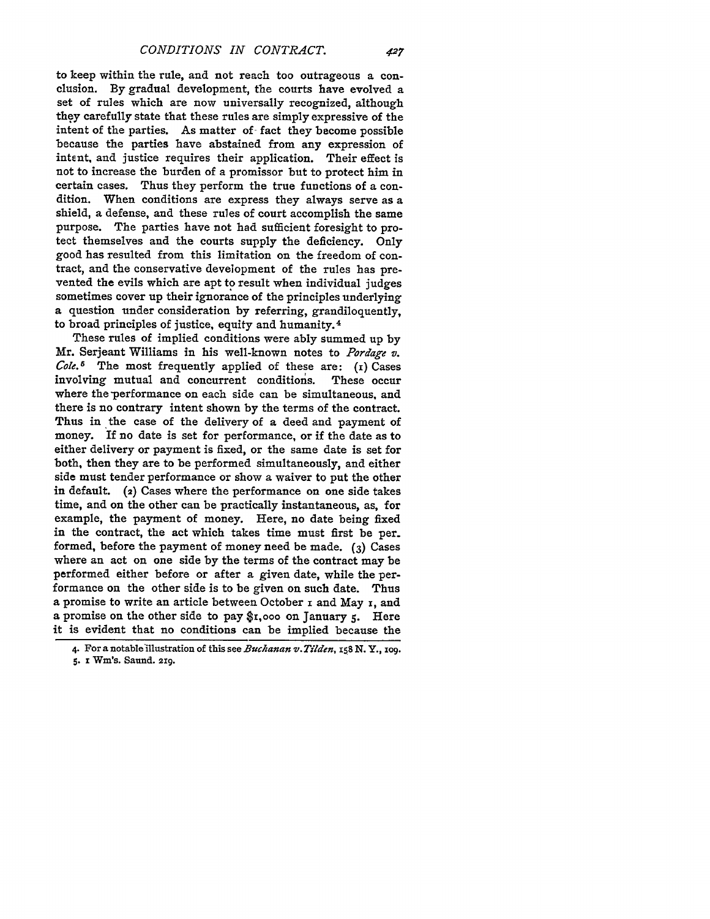to keep within the rule, and not reach too outrageous a conclusion. **By** gradual development, the courts have evolved a set of rules which are now universally recognized, although they carefully state that these rules are simply expressive of the intent of the parties. As matter of fact they become possible because the parties have abstained from any expression of intent, and justice requires their application. Their effect is not to increase the burden of a promissor but to protect him in certain cases. Thus they perform the true functions of a condition. When conditions are express they always serve as a shield, a defense, and these rules of court accomplish the same purpose. The parties have not had sufficient foresight to protect themselves and the courts supply the deficiency. Only good has resulted from this limitation on the freedom of contract, and the conservative development of the rules has prevented the evils which are apt to result when individual judges sometimes cover up their ignorance of the principles underlying a question under consideration **by** referring, grandiloquently, to broad principles of justice, equity and humanity. <sup>4</sup>

These rules of implied conditions were ably summed up **by** Mr. Serjeant Williams in his well-known notes to *Pordage v. Cole.*<sup>5</sup> The most frequently applied of these are: (1) Cases involving mutual and concurrent conditions. These occur where the performance on each side can be simultaneous, and there is no contrary intent shown **by** the terms of the contract. Thus in the case of the delivery of a deed and payment of money. If no date is set for performance, or if the date as to either delivery or payment is fixed, or the same date is set for both, then they are to be performed simultaneously, and either side must tender performance or show a waiver to put the other in default. **(2)** Cases where the performance on one side takes time, and on the other can be practically instantaneous, as, for example, the payment of money. Here, no date being fixed in the contract, the act which takes time must first be per. formed, before the payment of money need be made. **(3)** Cases where an act on one side **by** the terms of the contract may be performed either before or after a given date, while the performance on the other side is to be given on such date. Thus **a** promise to write an article between October **i** and May **i,** and **a** promise on the other side to pay \$I,ooo on January **5.** Here it is evident that no conditions can be implied because the

<sup>4.</sup> For a notable illustration of this see *Buchanan v. Tilden, x\$8* **N.** Y., **io9.**

**S. x Wm's.** Saund. **2X9.**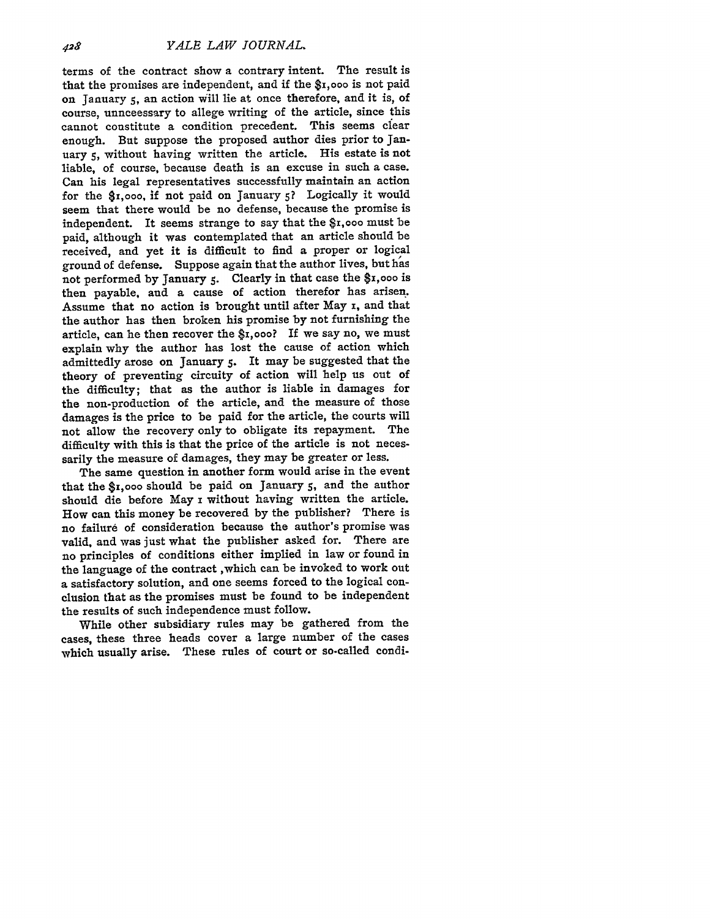terms of the contract show a contrary intent. The result is that the promises are independent, and if the \$1,000 is not paid on January **5,** an action will lie at once therefore, and it is, of course, unnceessary to allege writing of the article, since this cannot constitute a condition precedent. This seems clear enough. **But** suppose the proposed author dies prior to January **5,** without having written the article. His estate is not liable, of course, because death is an excuse in such a case. Can his legal representatives successfully maintain an action for the \$i,ooo, if not paid on January **5?** Logically it would seem that there would be no defense, because the promise is independent. It seems strange to say that the \$r,ooo must be paid, although it was contemplated that an article should be received, and yet it is difficult to find a proper or logical ground of defense. Suppose again that the author lives, but has not performed **by** January **5.** Clearly in that case the \$i,ooo is then payable, and a cause of action therefor has arisen. Assume that no action is brought until after May **i,** and that the author has then broken his promise **by** not furnishing the article, can he then recover the \$1,000? If we say no, we must explain why the author has lost the cause of action which admittedly arose on January **5.** It may be suggested that the theory of preventing circuity of action will help us out of the difficulty; that as the author is liable in damages for the non-production of the article, and the measure of those damages is the price to be paid for the article, the courts will not allow the recovery only to obligate its repayment. The difficulty with this is that the price of the article is not necessarily the measure of damages, they may be greater or less.

The same question in another form would arise in the event that the \$i,ooo should be paid on January *5,* and the author should die before May **i** without having written the article. How can this money be recovered by the publisher? There is no failure of consideration because the author's promise was valid, and was just what the publisher asked for. There are no principles of conditions either implied in law or found in the language of the contract ,which can be invoked to work out a satisfactory solution, and one seems forced to the logical conclusion that as the promises must be found to be independent the results of such independence must follow.

While other subsidiary rules may be gathered from the cases, these three heads cover a large number of the cases which usually arise. These rules of court or so-called condi-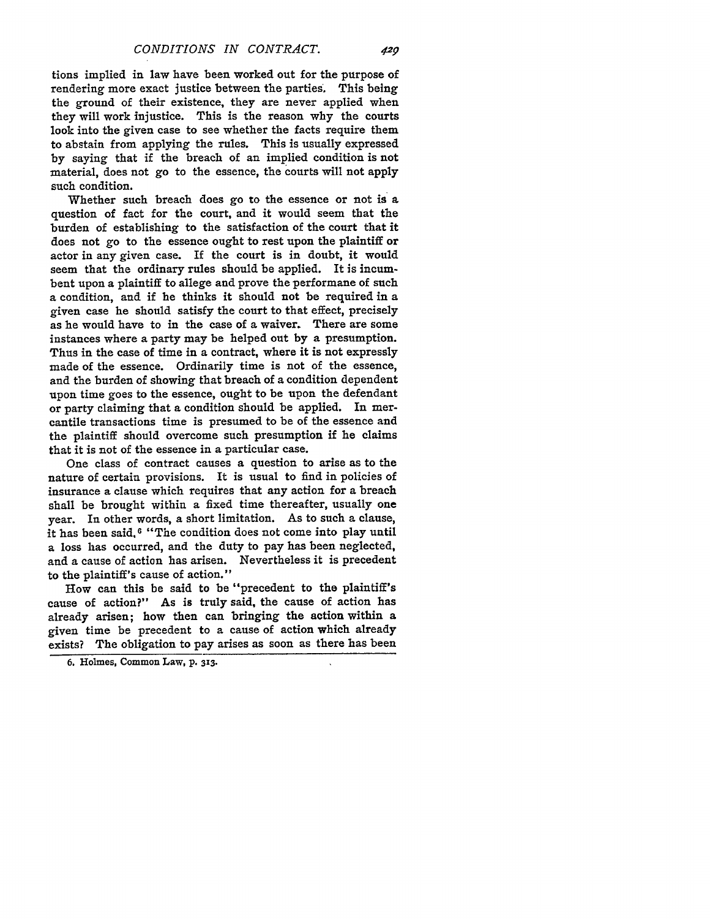tions implied in law have been worked out for the purpose of rendering more exact justice between the parties. This being the ground of their existence, they are never applied when they will work injustice. This is the reason why the courts look into the given case to see whether the facts require them to abstain from applying the rules. This is usually expressed **by** saying that if the breach of an implied condition is not material, does not go to the essence, the courts will not apply such condition.

Whether such breach does go to the essence or not is a question of fact for the court, and it would seem that the burden of establishing to the satisfaction of the court that it does not go to the essence ought to rest upon the plaintiff or actor in any given case. If the court is in doubt, it would seem that the ordinary rules should be applied. It is incumbent upon a plaintiff to allege and prove the performane of such a condition, and if he thinks it should not be required in a given case he should satisfy the court to that effect, precisely as he would have to in the case of a waiver. There are some instances where a party may be helped out **by** a presumption. Thus in the case of time in a contract, where it is not expressly made of the essence. Ordinarily time is not of the essence, and the burden of showing that breach of a condition dependent upon time goes to the essence, ought to be upon the defendant or party claiming that a condition should be applied. In mercantile transactions time is presumed to be of the essence and the plaintiff should overcome such presumption if he claims that it is not of the essence in a particular case.

One class of contract causes a question to arise as to the nature of certain provisions. It is usual to find in policies of insurance a clause which requires that any action for a breach shall be brought within a fixed time thereafter, usually one year. In other words, a short limitation. As to such a clause, it has been said. 6 "The condition does not come into play until a loss has occurred, and the duty to pay has been neglected, and a cause of action has arisen. Nevertheless it is precedent to the plaintiff's cause of action."

How can this be said to be "precedent to the plaintiff's cause of action?" As is truly said, the cause of action has already arisen; how then can bringing the action within a given time be precedent to a cause of action which already exists? The obligation to pay arises as soon as there has been

**<sup>6.</sup>** Holmes, Common Law, P. **313.**